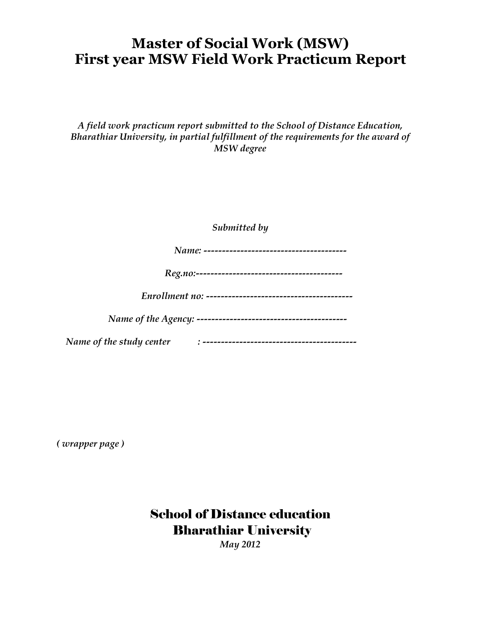## **Master of Social Work (MSW) First year MSW Field Work Practicum Report**

#### *A field work practicum report submitted to the School of Distance Education, Bharathiar University, in partial fulfillment of the requirements for the award of MSW degree*

*Submitted by*

| Name: |  |
|-------|--|
|-------|--|

| $\boldsymbol{110}$<br>. ρσ |  |
|----------------------------|--|
|----------------------------|--|

|--|--|

|--|--|

 *Name of the study center : ------------------------------------------*

*( wrapper page )*

School of Distance education Bharathiar University *May 2012*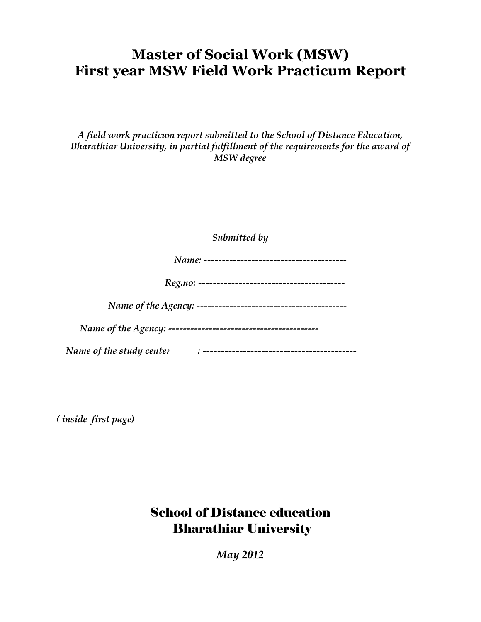## **Master of Social Work (MSW) First year MSW Field Work Practicum Report**

#### *A field work practicum report submitted to the School of Distance Education, Bharathiar University, in partial fulfillment of the requirements for the award of MSW degree*

*Submitted by*

| 'N Q<br>11 M |  |
|--------------|--|
|--------------|--|

| ĸ |  |
|---|--|
|---|--|

|--|--|

 *Name of the Agency: -----------------------------------------*

 *Name of the study center : ------------------------------------------*

*( inside first page)*

## School of Distance education Bharathiar University

*May 2012*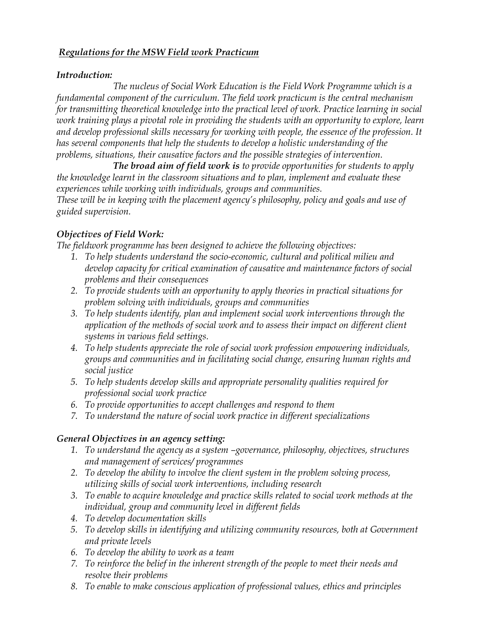#### *Regulations for the MSW Field work Practicum*

#### *Introduction:*

*The nucleus of Social Work Education is the Field Work Programme which is a fundamental component of the curriculum. The field work practicum is the central mechanism for transmitting theoretical knowledge into the practical level of work. Practice learning in social work training plays a pivotal role in providing the students with an opportunity to explore, learn and develop professional skills necessary for working with people, the essence of the profession. It has several components that help the students to develop a holistic understanding of the problems, situations, their causative factors and the possible strategies of intervention.*

*The broad aim of field work is to provide opportunities for students to apply the knowledge learnt in the classroom situations and to plan, implement and evaluate these experiences while working with individuals, groups and communities.*

*These will be in keeping with the placement agency's philosophy, policy and goals and use of guided supervision.* 

#### *Objectives of Field Work:*

*The fieldwork programme has been designed to achieve the following objectives:*

- *1. To help students understand the socio-economic, cultural and political milieu and develop capacity for critical examination of causative and maintenance factors of social problems and their consequences*
- *2. To provide students with an opportunity to apply theories in practical situations for problem solving with individuals, groups and communities*
- *3. To help students identify, plan and implement social work interventions through the application of the methods of social work and to assess their impact on different client systems in various field settings.*
- *4. To help students appreciate the role of social work profession empowering individuals, groups and communities and in facilitating social change, ensuring human rights and social justice*
- *5. To help students develop skills and appropriate personality qualities required for professional social work practice*
- *6. To provide opportunities to accept challenges and respond to them*
- *7. To understand the nature of social work practice in different specializations*

#### *General Objectives in an agency setting:*

- *1. To understand the agency as a system –governance, philosophy, objectives, structures and management of services/ programmes*
- *2. To develop the ability to involve the client system in the problem solving process, utilizing skills of social work interventions, including research*
- *3. To enable to acquire knowledge and practice skills related to social work methods at the individual, group and community level in different fields*
- *4. To develop documentation skills*
- *5. To develop skills in identifying and utilizing community resources, both at Government and private levels*
- *6. To develop the ability to work as a team*
- *7. To reinforce the belief in the inherent strength of the people to meet their needs and resolve their problems*
- *8. To enable to make conscious application of professional values, ethics and principles*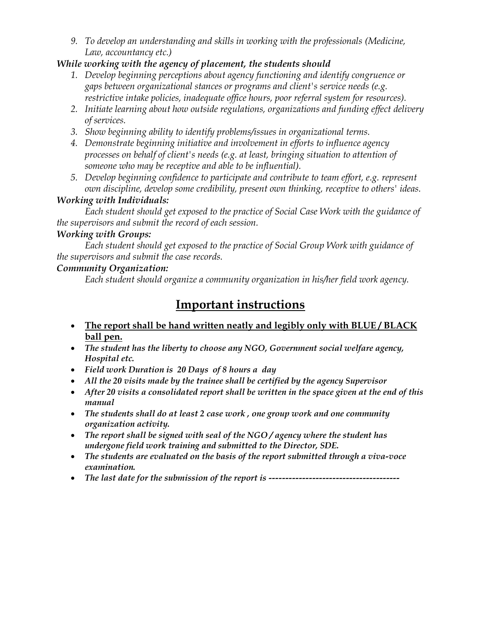*9. To develop an understanding and skills in working with the professionals (Medicine, Law, accountancy etc.)*

#### *While working with the agency of placement, the students should*

- *1. Develop beginning perceptions about agency functioning and identify congruence or gaps between organizational stances or programs and client's service needs (e.g. restrictive intake policies, inadequate office hours, poor referral system for resources).*
- *2. Initiate learning about how outside regulations, organizations and funding effect delivery of services.*
- *3. Show beginning ability to identify problems/issues in organizational terms.*
- *4. Demonstrate beginning initiative and involvement in efforts to influence agency processes on behalf of client's needs (e.g. at least, bringing situation to attention of someone who may be receptive and able to be influential).*
- *5. Develop beginning confidence to participate and contribute to team effort, e.g. represent own discipline, develop some credibility, present own thinking, receptive to others' ideas.*

#### *Working with Individuals:*

*Each student should get exposed to the practice of Social Case Work with the guidance of the supervisors and submit the record of each session.*

#### *Working with Groups:*

*Each student should get exposed to the practice of Social Group Work with guidance of the supervisors and submit the case records.*

#### *Community Organization:*

*Each student should organize a community organization in his/her field work agency.*

### **Important instructions**

- **The report shall be hand written neatly and legibly only with BLUE / BLACK ball pen.**
- *The student has the liberty to choose any NGO, Government social welfare agency, Hospital etc.*
- *Field work Duration is 20 Days of 8 hours a day*
- *All the 20 visits made by the trainee shall be certified by the agency Supervisor*
- *After 20 visits a consolidated report shall be written in the space given at the end of this manual*
- *The students shall do at least 2 case work , one group work and one community organization activity.*
- *The report shall be signed with seal of the NGO / agency where the student has undergone field work training and submitted to the Director, SDE.*
- *The students are evaluated on the basis of the report submitted through a viva-voce examination.*
- *The last date for the submission of the report is ---------------------------------------*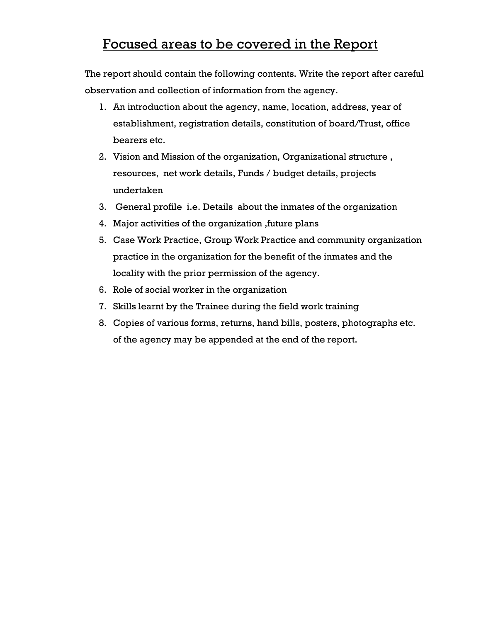### Focused areas to be covered in the Report

The report should contain the following contents. Write the report after careful observation and collection of information from the agency.

- 1. An introduction about the agency, name, location, address, year of establishment, registration details, constitution of board/Trust, office bearers etc.
- 2. Vision and Mission of the organization, Organizational structure , resources, net work details, Funds / budget details, projects undertaken
- 3. General profile i.e. Details about the inmates of the organization
- 4. Major activities of the organization ,future plans
- 5. Case Work Practice, Group Work Practice and community organization practice in the organization for the benefit of the inmates and the locality with the prior permission of the agency.
- 6. Role of social worker in the organization
- 7. Skills learnt by the Trainee during the field work training
- 8. Copies of various forms, returns, hand bills, posters, photographs etc. of the agency may be appended at the end of the report.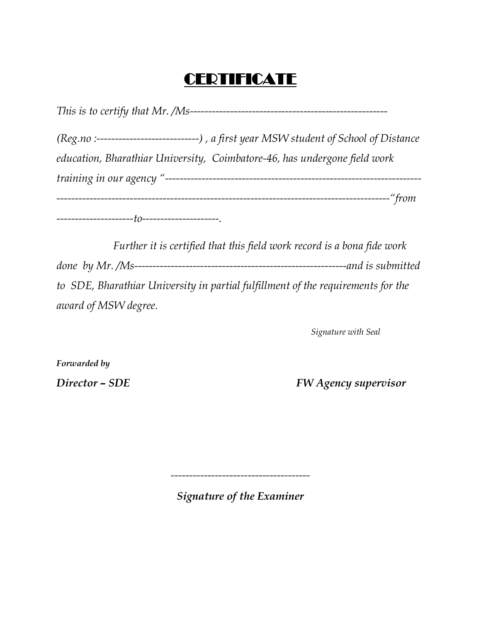# **CERTIFICATE**

*This is to certify that Mr. /Ms------------------------------------------------------ (Reg.no :----------------------------) , a first year MSW student of School of Distance* 

*education, Bharathiar University, Coimbatore-46, has undergone field work training in our agency "---------------------------------------------------------------------- -------------------------------------------------------------------------------------------"from ---------------------to---------------------.*

*Further it is certified that this field work record is a bona fide work done by Mr. /Ms----------------------------------------------------------and is submitted to SDE, Bharathiar University in partial fulfillment of the requirements for the award of MSW degree.*

*Signature with Seal*

*Forwarded by*

*Director – SDE FW Agency supervisor*

*--------------------------------------*

*Signature of the Examiner*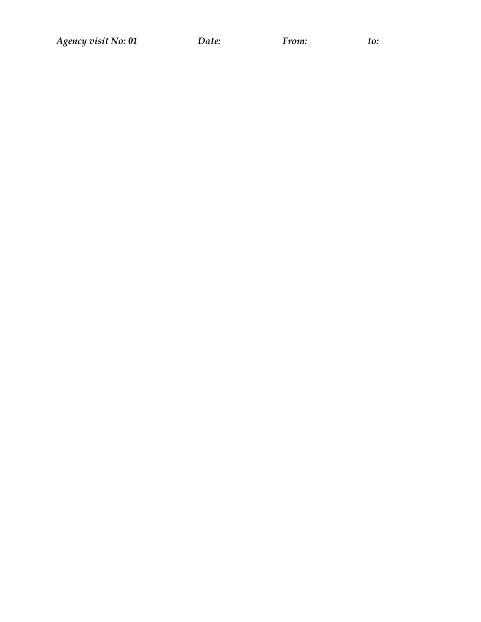*Agency visit No: 01 Date: From: to:*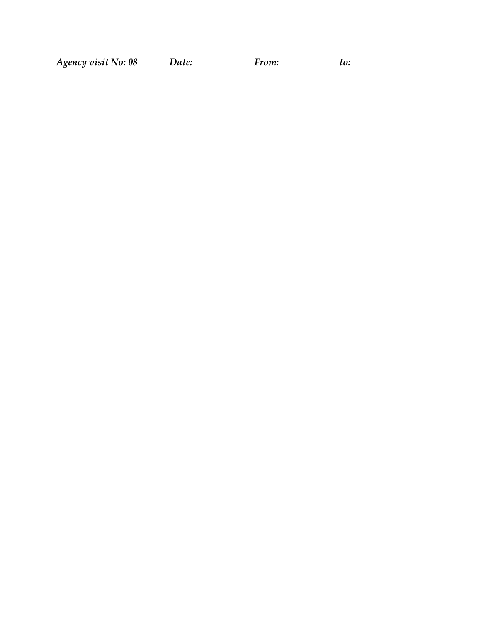*Agency visit No: 08 Date: From: to:*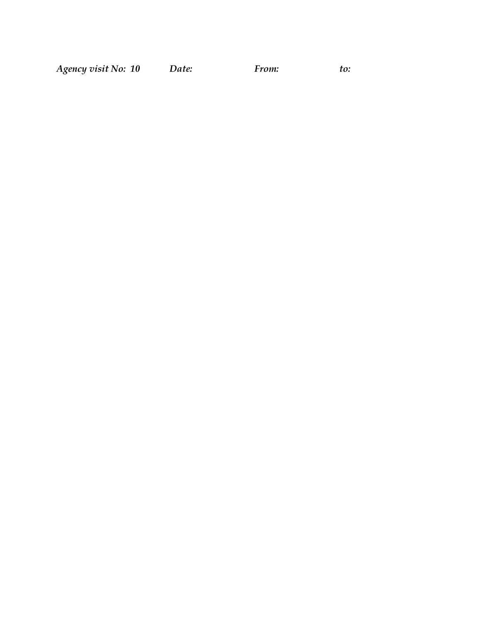| Agency visit No: 10 | Date: | <i>From:</i> | to: |
|---------------------|-------|--------------|-----|
|---------------------|-------|--------------|-----|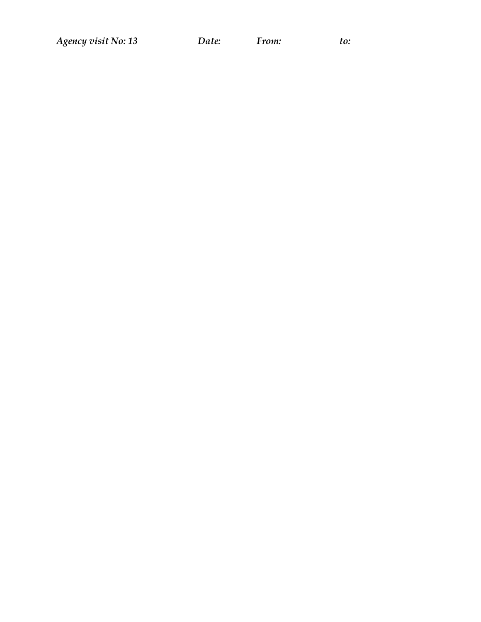*Agency visit No: 13 Date: From: to:*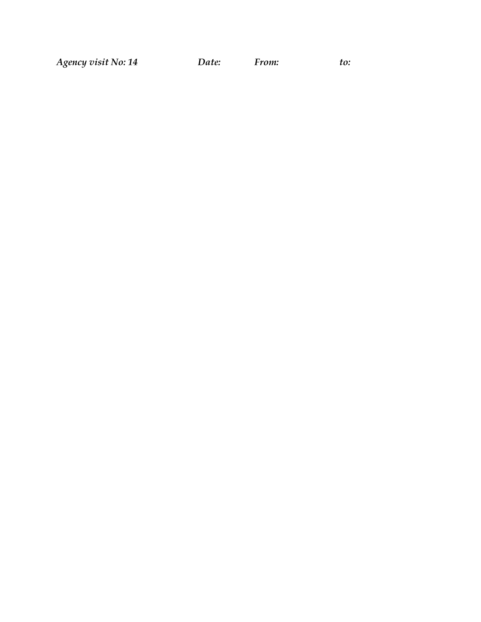*Agency visit No: 14 Date: From: to:*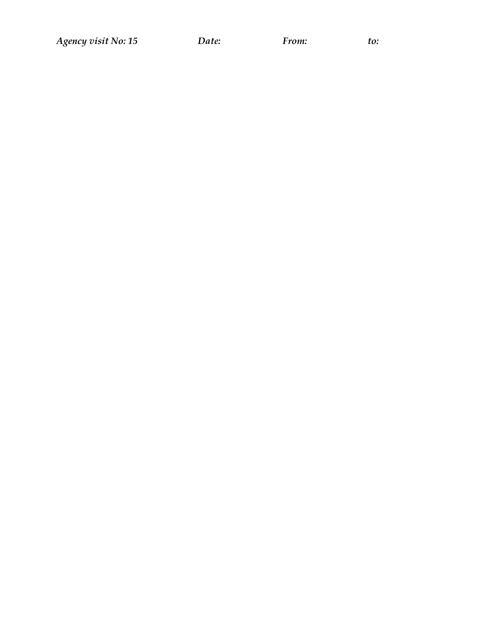*Agency visit No: 15 Date: From: to:*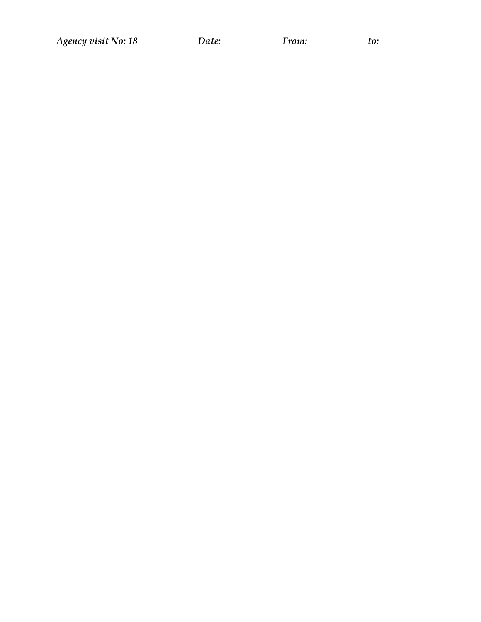*Agency visit No: 18 Date: From: to:*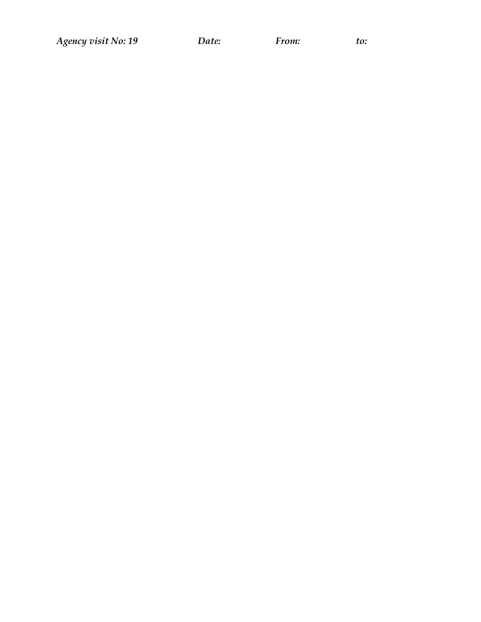*Agency visit No: 19 Date: From: to:*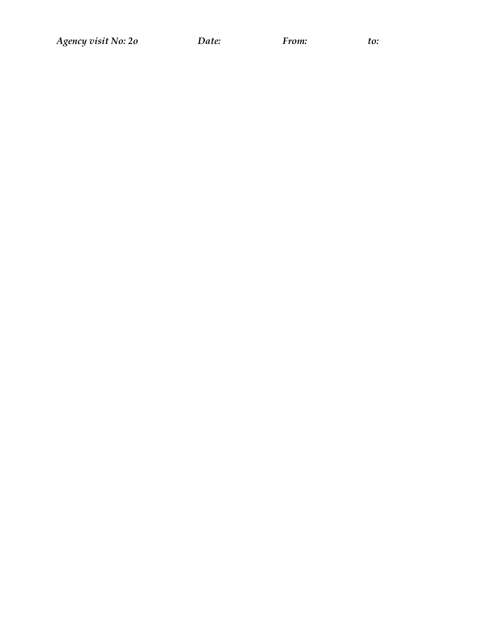Agency visit No: 20

Date:

From:

 $to:$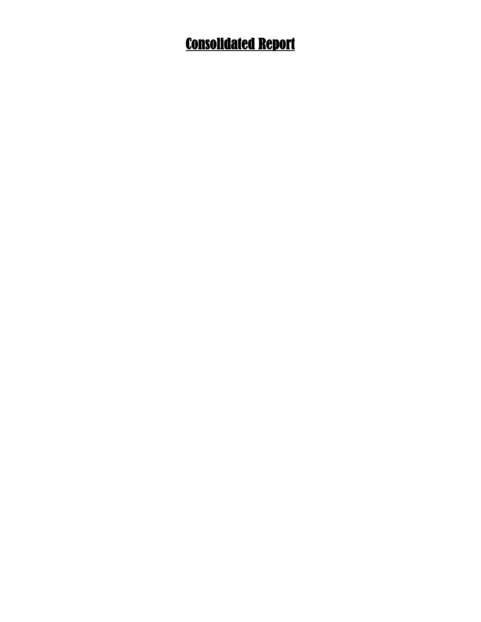# Consolidated Report